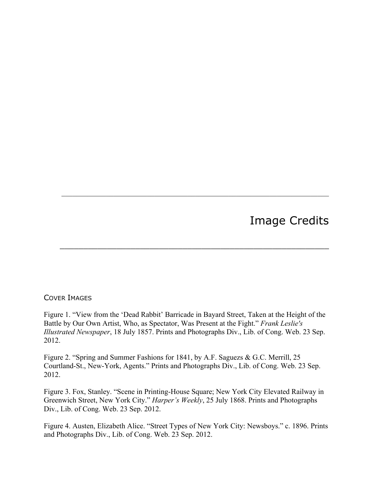## Image Credits

## COVER IMAGES

Figure 1. "View from the 'Dead Rabbit' Barricade in Bayard Street, Taken at the Height of the Battle by Our Own Artist, Who, as Spectator, Was Present at the Fight." *Frank Leslie's Illustrated Newspaper*, 18 July 1857. Prints and Photographs Div., Lib. of Cong. Web. 23 Sep. 2012.

 $\mathcal{L}_\text{max} = \mathcal{L}_\text{max} = \mathcal{L}_\text{max} = \mathcal{L}_\text{max} = \mathcal{L}_\text{max} = \mathcal{L}_\text{max} = \mathcal{L}_\text{max} = \mathcal{L}_\text{max} = \mathcal{L}_\text{max} = \mathcal{L}_\text{max} = \mathcal{L}_\text{max} = \mathcal{L}_\text{max} = \mathcal{L}_\text{max} = \mathcal{L}_\text{max} = \mathcal{L}_\text{max} = \mathcal{L}_\text{max} = \mathcal{L}_\text{max} = \mathcal{L}_\text{max} = \mathcal{$ 

\_\_\_\_\_\_\_\_\_\_\_\_\_\_\_\_\_\_\_\_\_\_\_\_\_\_\_\_\_\_\_\_\_\_\_\_\_\_\_\_\_\_\_\_\_\_\_\_\_\_\_\_\_\_\_\_\_

Figure 2. "Spring and Summer Fashions for 1841, by A.F. Saguezs & G.C. Merrill, 25 Courtland-St., New-York, Agents." Prints and Photographs Div., Lib. of Cong. Web. 23 Sep. 2012.

Figure 3. Fox, Stanley. "Scene in Printing-House Square; New York City Elevated Railway in Greenwich Street, New York City." *Harper's Weekly*, 25 July 1868. Prints and Photographs Div., Lib. of Cong. Web. 23 Sep. 2012.

Figure 4. Austen, Elizabeth Alice. "Street Types of New York City: Newsboys." c. 1896. Prints and Photographs Div., Lib. of Cong. Web. 23 Sep. 2012.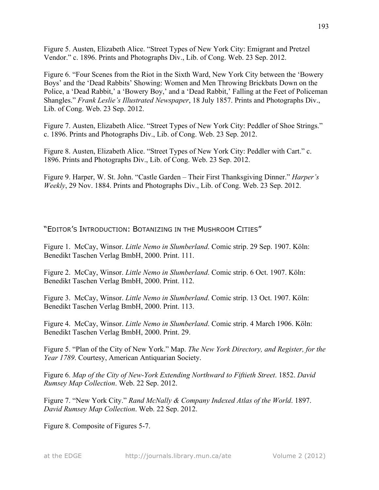Figure 5. Austen, Elizabeth Alice. "Street Types of New York City: Emigrant and Pretzel Vendor." c. 1896. Prints and Photographs Div., Lib. of Cong. Web. 23 Sep. 2012.

Figure 6. "Four Scenes from the Riot in the Sixth Ward, New York City between the 'Bowery Boys' and the 'Dead Rabbits' Showing: Women and Men Throwing Brickbats Down on the Police, a 'Dead Rabbit,' a 'Bowery Boy,' and a 'Dead Rabbit,' Falling at the Feet of Policeman Shangles." *Frank Leslie's Illustrated Newspaper*, 18 July 1857. Prints and Photographs Div., Lib. of Cong. Web. 23 Sep. 2012.

Figure 7. Austen, Elizabeth Alice. "Street Types of New York City: Peddler of Shoe Strings." c. 1896. Prints and Photographs Div., Lib. of Cong. Web. 23 Sep. 2012.

Figure 8. Austen, Elizabeth Alice. "Street Types of New York City: Peddler with Cart." c. 1896. Prints and Photographs Div., Lib. of Cong. Web. 23 Sep. 2012.

Figure 9. Harper, W. St. John. "Castle Garden – Their First Thanksgiving Dinner." *Harper's Weekly*, 29 Nov. 1884. Prints and Photographs Div., Lib. of Cong. Web. 23 Sep. 2012.

"EDITOR'S INTRODUCTION: BOTANIZING IN THE MUSHROOM CITIES"

Figure 1. McCay, Winsor. *Little Nemo in Slumberland*. Comic strip. 29 Sep. 1907. Köln: Benedikt Taschen Verlag BmbH, 2000. Print. 111.

Figure 2. McCay, Winsor. *Little Nemo in Slumberland*. Comic strip. 6 Oct. 1907. Köln: Benedikt Taschen Verlag BmbH, 2000. Print. 112.

Figure 3. McCay, Winsor. *Little Nemo in Slumberland*. Comic strip. 13 Oct. 1907. Köln: Benedikt Taschen Verlag BmbH, 2000. Print. 113.

Figure 4. McCay, Winsor. *Little Nemo in Slumberland*. Comic strip. 4 March 1906. Köln: Benedikt Taschen Verlag BmbH, 2000. Print. 29.

Figure 5. "Plan of the City of New York." Map. *The New York Directory, and Register, for the Year 1789*. Courtesy, American Antiquarian Society.

Figure 6. *Map of the City of New-York Extending Northward to Fiftieth Street*. 1852. *David Rumsey Map Collection*. Web. 22 Sep. 2012.

Figure 7. "New York City." *Rand McNally & Company Indexed Atlas of the World*. 1897. *David Rumsey Map Collection*. Web. 22 Sep. 2012.

Figure 8. Composite of Figures 5-7.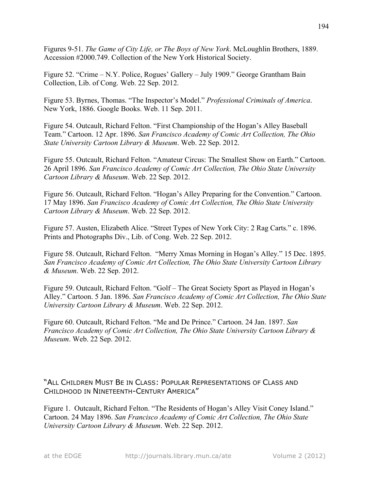Figures 9-51. *The Game of City Life, or The Boys of New York*. McLoughlin Brothers, 1889. Accession #2000.749. Collection of the New York Historical Society.

Figure 52. "Crime – N.Y. Police, Rogues' Gallery – July 1909." George Grantham Bain Collection, Lib. of Cong. Web. 22 Sep. 2012.

Figure 53. Byrnes, Thomas. "The Inspector's Model." *Professional Criminals of America*. New York, 1886. Google Books. Web. 11 Sep. 2011.

Figure 54. Outcault, Richard Felton. "First Championship of the Hogan's Alley Baseball Team." Cartoon. 12 Apr. 1896. *San Francisco Academy of Comic Art Collection, The Ohio State University Cartoon Library & Museum*. Web. 22 Sep. 2012.

Figure 55. Outcault, Richard Felton. "Amateur Circus: The Smallest Show on Earth." Cartoon. 26 April 1896. *San Francisco Academy of Comic Art Collection, The Ohio State University Cartoon Library & Museum*. Web. 22 Sep. 2012.

Figure 56. Outcault, Richard Felton. "Hogan's Alley Preparing for the Convention." Cartoon. 17 May 1896. *San Francisco Academy of Comic Art Collection, The Ohio State University Cartoon Library & Museum*. Web. 22 Sep. 2012.

Figure 57. Austen, Elizabeth Alice. "Street Types of New York City: 2 Rag Carts." c. 1896. Prints and Photographs Div., Lib. of Cong. Web. 22 Sep. 2012.

Figure 58. Outcault, Richard Felton. "Merry Xmas Morning in Hogan's Alley." 15 Dec. 1895. *San Francisco Academy of Comic Art Collection, The Ohio State University Cartoon Library & Museum*. Web. 22 Sep. 2012.

Figure 59. Outcault, Richard Felton. "Golf – The Great Society Sport as Played in Hogan's Alley." Cartoon. 5 Jan. 1896. *San Francisco Academy of Comic Art Collection, The Ohio State University Cartoon Library & Museum*. Web. 22 Sep. 2012.

Figure 60. Outcault, Richard Felton. "Me and De Prince." Cartoon. 24 Jan. 1897. *San Francisco Academy of Comic Art Collection, The Ohio State University Cartoon Library & Museum*. Web. 22 Sep. 2012.

"ALL CHILDREN MUST BE IN CLASS: POPULAR REPRESENTATIONS OF CLASS AND CHILDHOOD IN NINETEENTH-CENTURY AMERICA"

Figure 1. Outcault, Richard Felton. "The Residents of Hogan's Alley Visit Coney Island." Cartoon. 24 May 1896. *San Francisco Academy of Comic Art Collection, The Ohio State University Cartoon Library & Museum*. Web. 22 Sep. 2012.

at the EDGE http://journals.library.mun.ca/ate Volume 2 (2012)